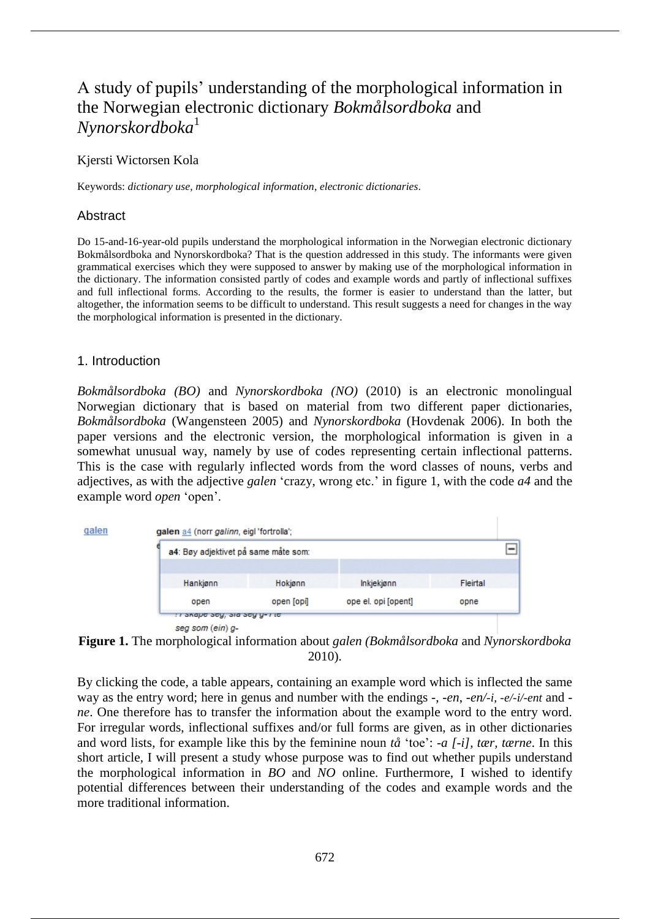# A study of pupils' understanding of the morphological information in the Norwegian electronic dictionary *Bokmålsordboka* and *Nynorskordboka*<sup>1</sup>

Kjersti Wictorsen Kola

Keywords: *dictionary use*, *morphological information*, *electronic dictionaries*.

# Abstract

Do 15-and-16-year-old pupils understand the morphological information in the Norwegian electronic dictionary Bokmålsordboka and Nynorskordboka? That is the question addressed in this study. The informants were given grammatical exercises which they were supposed to answer by making use of the morphological information in the dictionary. The information consisted partly of codes and example words and partly of inflectional suffixes and full inflectional forms. According to the results, the former is easier to understand than the latter, but altogether, the information seems to be difficult to understand. This result suggests a need for changes in the way the morphological information is presented in the dictionary.

#### 1. Introduction

*Bokmålsordboka (BO)* and *Nynorskordboka (NO)* (2010) is an electronic monolingual Norwegian dictionary that is based on material from two different paper dictionaries, *Bokmålsordboka* (Wangensteen 2005) and *Nynorskordboka* (Hovdenak 2006). In both the paper versions and the electronic version, the morphological information is given in a somewhat unusual way, namely by use of codes representing certain inflectional patterns. This is the case with regularly inflected words from the word classes of nouns, verbs and adjectives, as with the adjective *galen* 'crazy, wrong etc.' in figure 1, with the code *a4* and the example word *open* 'open'.





**Figure 1.** The morphological information about *galen (Bokmålsordboka* and *Nynorskordboka* 2010).

By clicking the code, a table appears, containing an example word which is inflected the same way as the entry word; here in genus and number with the endings *-*, *-en*, *-en/-i, -e/-i/-ent* and  *ne*. One therefore has to transfer the information about the example word to the entry word. For irregular words, inflectional suffixes and/or full forms are given, as in other dictionaries and word lists, for example like this by the feminine noun *tå* 'toe': *-a [-i], tær, tærne*. In this short article, I will present a study whose purpose was to find out whether pupils understand the morphological information in *BO* and *NO* online. Furthermore, I wished to identify potential differences between their understanding of the codes and example words and the more traditional information.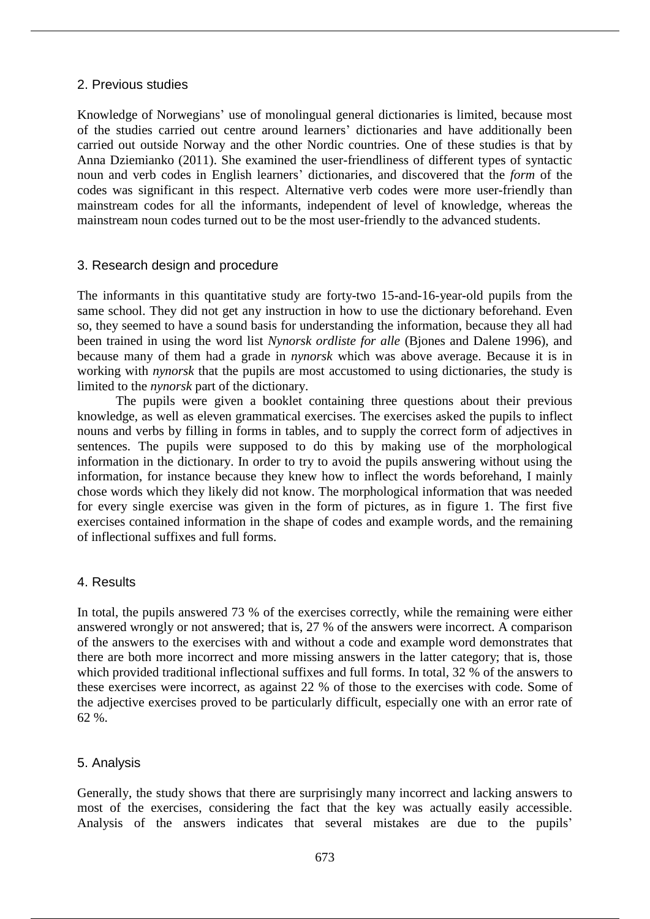# 2. Previous studies

Knowledge of Norwegians' use of monolingual general dictionaries is limited, because most of the studies carried out centre around learners' dictionaries and have additionally been carried out outside Norway and the other Nordic countries. One of these studies is that by Anna Dziemianko (2011). She examined the user-friendliness of different types of syntactic noun and verb codes in English learners' dictionaries, and discovered that the *form* of the codes was significant in this respect. Alternative verb codes were more user-friendly than mainstream codes for all the informants, independent of level of knowledge, whereas the mainstream noun codes turned out to be the most user-friendly to the advanced students.

# 3. Research design and procedure

The informants in this quantitative study are forty-two 15-and-16-year-old pupils from the same school. They did not get any instruction in how to use the dictionary beforehand. Even so, they seemed to have a sound basis for understanding the information, because they all had been trained in using the word list *Nynorsk ordliste for alle* (Bjones and Dalene 1996), and because many of them had a grade in *nynorsk* which was above average. Because it is in working with *nynorsk* that the pupils are most accustomed to using dictionaries, the study is limited to the *nynorsk* part of the dictionary.

The pupils were given a booklet containing three questions about their previous knowledge, as well as eleven grammatical exercises. The exercises asked the pupils to inflect nouns and verbs by filling in forms in tables, and to supply the correct form of adjectives in sentences. The pupils were supposed to do this by making use of the morphological information in the dictionary. In order to try to avoid the pupils answering without using the information, for instance because they knew how to inflect the words beforehand, I mainly chose words which they likely did not know. The morphological information that was needed for every single exercise was given in the form of pictures, as in figure 1. The first five exercises contained information in the shape of codes and example words, and the remaining of inflectional suffixes and full forms.

# 4. Results

In total, the pupils answered 73 % of the exercises correctly, while the remaining were either answered wrongly or not answered; that is, 27 % of the answers were incorrect. A comparison of the answers to the exercises with and without a code and example word demonstrates that there are both more incorrect and more missing answers in the latter category; that is, those which provided traditional inflectional suffixes and full forms. In total, 32 % of the answers to these exercises were incorrect, as against 22 % of those to the exercises with code. Some of the adjective exercises proved to be particularly difficult, especially one with an error rate of 62 %.

# 5. Analysis

Generally, the study shows that there are surprisingly many incorrect and lacking answers to most of the exercises, considering the fact that the key was actually easily accessible. Analysis of the answers indicates that several mistakes are due to the pupils'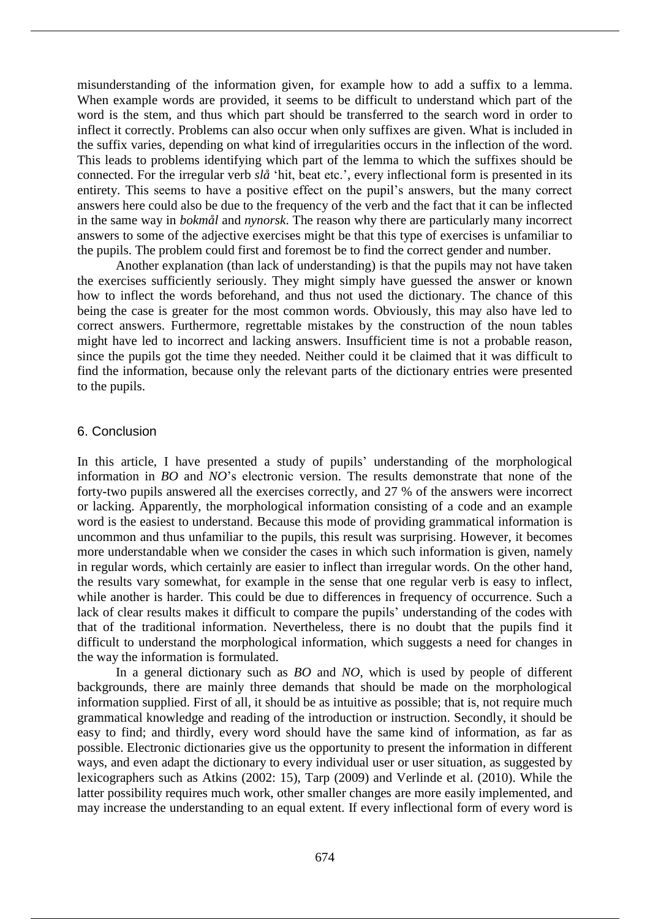misunderstanding of the information given, for example how to add a suffix to a lemma. When example words are provided, it seems to be difficult to understand which part of the word is the stem, and thus which part should be transferred to the search word in order to inflect it correctly. Problems can also occur when only suffixes are given. What is included in the suffix varies, depending on what kind of irregularities occurs in the inflection of the word. This leads to problems identifying which part of the lemma to which the suffixes should be connected. For the irregular verb *slå* 'hit, beat etc.', every inflectional form is presented in its entirety. This seems to have a positive effect on the pupil's answers, but the many correct answers here could also be due to the frequency of the verb and the fact that it can be inflected in the same way in *bokmål* and *nynorsk*. The reason why there are particularly many incorrect answers to some of the adjective exercises might be that this type of exercises is unfamiliar to the pupils. The problem could first and foremost be to find the correct gender and number.

Another explanation (than lack of understanding) is that the pupils may not have taken the exercises sufficiently seriously. They might simply have guessed the answer or known how to inflect the words beforehand, and thus not used the dictionary. The chance of this being the case is greater for the most common words. Obviously, this may also have led to correct answers. Furthermore, regrettable mistakes by the construction of the noun tables might have led to incorrect and lacking answers. Insufficient time is not a probable reason, since the pupils got the time they needed. Neither could it be claimed that it was difficult to find the information, because only the relevant parts of the dictionary entries were presented to the pupils.

#### 6. Conclusion

In this article, I have presented a study of pupils' understanding of the morphological information in *BO* and *NO*'s electronic version. The results demonstrate that none of the forty-two pupils answered all the exercises correctly, and 27 % of the answers were incorrect or lacking. Apparently, the morphological information consisting of a code and an example word is the easiest to understand. Because this mode of providing grammatical information is uncommon and thus unfamiliar to the pupils, this result was surprising. However, it becomes more understandable when we consider the cases in which such information is given, namely in regular words, which certainly are easier to inflect than irregular words. On the other hand, the results vary somewhat, for example in the sense that one regular verb is easy to inflect, while another is harder. This could be due to differences in frequency of occurrence. Such a lack of clear results makes it difficult to compare the pupils' understanding of the codes with that of the traditional information. Nevertheless, there is no doubt that the pupils find it difficult to understand the morphological information, which suggests a need for changes in the way the information is formulated.

In a general dictionary such as *BO* and *NO*, which is used by people of different backgrounds, there are mainly three demands that should be made on the morphological information supplied. First of all, it should be as intuitive as possible; that is, not require much grammatical knowledge and reading of the introduction or instruction. Secondly, it should be easy to find; and thirdly, every word should have the same kind of information, as far as possible. Electronic dictionaries give us the opportunity to present the information in different ways, and even adapt the dictionary to every individual user or user situation, as suggested by lexicographers such as Atkins (2002: 15), Tarp (2009) and Verlinde et al. (2010). While the latter possibility requires much work, other smaller changes are more easily implemented, and may increase the understanding to an equal extent. If every inflectional form of every word is